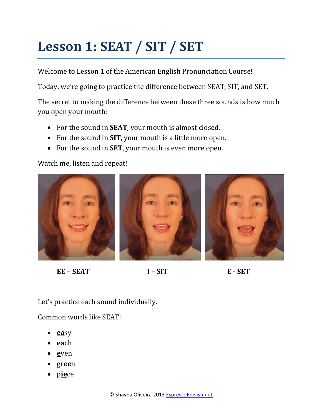## **Lesson 1: SEAT / SIT / SET**

Welcome to Lesson 1 of the American English Pronunciation Course!

Today, we're going to practice the difference between SEAT, SIT, and SET.

The secret to making the difference between these three sounds is how much you open your mouth:

- For the sound in **SEAT**, your mouth is almost closed.
- For the sound in **SIT**, your mouth is a little more open.
- For the sound in **SET**, your mouth is even more open.

Watch me, listen and repeat!



**EE – SEAT I – SIT E - SET**

Let's practice each sound individually.

Common words like SEAT:

- **ea**sy
- **ea**ch
- **e**ven
- gr**ee**n
- p**ie**ce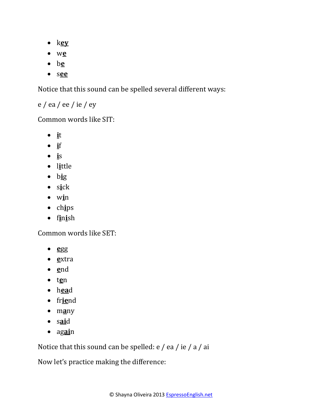- k**ey**
- w**e**
- b**e**
- s**ee**

Notice that this sound can be spelled several different ways:

e / ea / ee / ie / ey

Common words like SIT:

- **i**t
- **i**f
- **i**s
- l**i**ttle
- b**i**g
- s**i**ck
- w**i**n
- ch**i**ps
- f**i**n**i**sh

Common words like SET:

- **e**gg
- **e**xtra
- **e**nd
- t**e**n
- h**ea**d
- fr**ie**nd
- m**a**ny
- s**ai**d
- ag**ai**n

Notice that this sound can be spelled: e / ea / ie / a / ai

Now let's practice making the difference: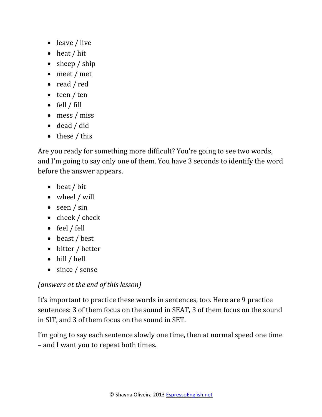- leave / live
- heat / hit
- sheep / ship
- meet / met
- read / red
- teen / ten
- fell / fill
- mess / miss
- dead / did
- these / this

Are you ready for something more difficult? You're going to see two words, and I'm going to say only one of them. You have 3 seconds to identify the word before the answer appears.

- beat / bit
- wheel / will
- seen / sin
- cheek / check
- feel / fell
- beast / best
- bitter / better
- hill / hell
- since / sense

#### *(answers at the end of this lesson)*

It's important to practice these words in sentences, too. Here are 9 practice sentences: 3 of them focus on the sound in SEAT, 3 of them focus on the sound in SIT, and 3 of them focus on the sound in SET.

I'm going to say each sentence slowly one time, then at normal speed one time – and I want you to repeat both times.